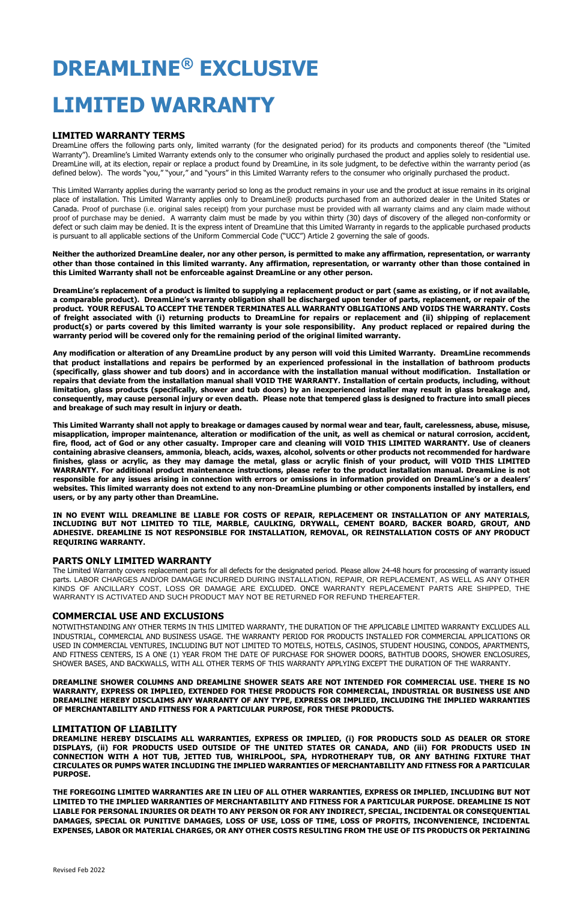# **DREAMLINE® EXCLUSIVE**

# **LIMITED WARRANTY**

# **LIMITED WARRANTY TERMS**

DreamLine offers the following parts only, limited warranty (for the designated period) for its products and components thereof (the "Limited Warranty"). Dreamline's Limited Warranty extends only to the consumer who originally purchased the product and applies solely to residential use. DreamLine will, at its election, repair or replace a product found by DreamLine, in its sole judgment, to be defective within the warranty period (as defined below). The words "you," "your," and "yours" in this Limited Warranty refers to the consumer who originally purchased the product.

This Limited Warranty applies during the warranty period so long as the product remains in your use and the product at issue remains in its original place of installation. This Limited Warranty applies only to DreamLine® products purchased from an authorized dealer in the United States or Canada. Proof of purchase (i.e. original sales receipt) from your purchase must be provided with all warranty claims and any claim made without proof of purchase may be denied. A warranty claim must be made by you within thirty (30) days of discovery of the alleged non-conformity or defect or such claim may be denied. It is the express intent of DreamLine that this Limited Warranty in regards to the applicable purchased products is pursuant to all applicable sections of the Uniform Commercial Code ("UCC") Article 2 governing the sale of goods.

**Neither the authorized DreamLine dealer, nor any other person, is permitted to make any affirmation, representation, or warranty other than those contained in this limited warranty. Any affirmation, representation, or warranty other than those contained in this Limited Warranty shall not be enforceable against DreamLine or any other person.** 

**DreamLine's replacement of a product is limited to supplying a replacement product or part (same as existing, or if not available, a comparable product). DreamLine's warranty obligation shall be discharged upon tender of parts, replacement, or repair of the product. YOUR REFUSAL TO ACCEPT THE TENDER TERMINATES ALL WARRANTY OBLIGATIONS AND VOIDS THE WARRANTY. Costs of freight associated with (i) returning products to DreamLine for repairs or replacement and (ii) shipping of replacement product(s) or parts covered by this limited warranty is your sole responsibility. Any product replaced or repaired during the warranty period will be covered only for the remaining period of the original limited warranty.** 

**Any modification or alteration of any DreamLine product by any person will void this Limited Warranty. DreamLine recommends that product installations and repairs be performed by an experienced professional in the installation of bathroom products (specifically, glass shower and tub doors) and in accordance with the installation manual without modification. Installation or repairs that deviate from the installation manual shall VOID THE WARRANTY. Installation of certain products, including, without limitation, glass products (specifically, shower and tub doors) by an inexperienced installer may result in glass breakage and, consequently, may cause personal injury or even death. Please note that tempered glass is designed to fracture into small pieces and breakage of such may result in injury or death.**

**This Limited Warranty shall not apply to breakage or damages caused by normal wear and tear, fault, carelessness, abuse, misuse, misapplication, improper maintenance, alteration or modification of the unit, as well as chemical or natural corrosion, accident, fire, flood, act of God or any other casualty. Improper care and cleaning will VOID THIS LIMITED WARRANTY. Use of cleaners containing abrasive cleansers, ammonia, bleach, acids, waxes, alcohol, solvents or other products not recommended for hardware finishes, glass or acrylic, as they may damage the metal, glass or acrylic finish of your product, will VOID THIS LIMITED WARRANTY. For additional product maintenance instructions, please refer to the product installation manual. DreamLine is not responsible for any issues arising in connection with errors or omissions in information provided on DreamLine's or a dealers' websites. This limited warranty does not extend to any non-DreamLine plumbing or other components installed by installers, end users, or by any party other than DreamLine.** 

**IN NO EVENT WILL DREAMLINE BE LIABLE FOR COSTS OF REPAIR, REPLACEMENT OR INSTALLATION OF ANY MATERIALS, INCLUDING BUT NOT LIMITED TO TILE, MARBLE, CAULKING, DRYWALL, CEMENT BOARD, BACKER BOARD, GROUT, AND ADHESIVE. DREAMLINE IS NOT RESPONSIBLE FOR INSTALLATION, REMOVAL, OR REINSTALLATION COSTS OF ANY PRODUCT REQUIRING WARRANTY.** 

#### **PARTS ONLY LIMITED WARRANTY**

The Limited Warranty covers replacement parts for all defects for the designated period. Please allow 24-48 hours for processing of warranty issued parts. LABOR CHARGES AND/OR DAMAGE INCURRED DURING INSTALLATION, REPAIR, OR REPLACEMENT, AS WELL AS ANY OTHER KINDS OF ANCILLARY COST, LOSS OR DAMAGE ARE EXCLUDED. ONCE WARRANTY REPLACEMENT PARTS ARE SHIPPED, THE WARRANTY IS ACTIVATED AND SUCH PRODUCT MAY NOT BE RETURNED FOR REFUND THEREAFTER.

# **COMMERCIAL USE AND EXCLUSIONS**

NOTWITHSTANDING ANY OTHER TERMS IN THIS LIMITED WARRANTY, THE DURATION OF THE APPLICABLE LIMITED WARRANTY EXCLUDES ALL INDUSTRIAL, COMMERCIAL AND BUSINESS USAGE. THE WARRANTY PERIOD FOR PRODUCTS INSTALLED FOR COMMERCIAL APPLICATIONS OR USED IN COMMERCIAL VENTURES, INCLUDING BUT NOT LIMITED TO MOTELS, HOTELS, CASINOS, STUDENT HOUSING, CONDOS, APARTMENTS, AND FITNESS CENTERS, IS A ONE (1) YEAR FROM THE DATE OF PURCHASE FOR SHOWER DOORS, BATHTUB DOORS, SHOWER ENCLOSURES,

**DREAMLINE SHOWER COLUMNS AND DREAMLINE SHOWER SEATS ARE NOT INTENDED FOR COMMERCIAL USE. THERE IS NO WARRANTY, EXPRESS OR IMPLIED, EXTENDED FOR THESE PRODUCTS FOR COMMERCIAL, INDUSTRIAL OR BUSINESS USE AND DREAMLINE HEREBY DISCLAIMS ANY WARRANTY OF ANY TYPE, EXPRESS OR IMPLIED, INCLUDING THE IMPLIED WARRANTIES OF MERCHANTABILITY AND FITNESS FOR A PARTICULAR PURPOSE, FOR THESE PRODUCTS.**

#### **LIMITATION OF LIABILITY**

**DREAMLINE HEREBY DISCLAIMS ALL WARRANTIES, EXPRESS OR IMPLIED, (i) FOR PRODUCTS SOLD AS DEALER OR STORE DISPLAYS, (ii) FOR PRODUCTS USED OUTSIDE OF THE UNITED STATES OR CANADA, AND (iii) FOR PRODUCTS USED IN CONNECTION WITH A HOT TUB, JETTED TUB, WHIRLPOOL, SPA, HYDROTHERAPY TUB, OR ANY BATHING FIXTURE THAT CIRCULATES OR PUMPS WATER INCLUDING THE IMPLIED WARRANTIES OF MERCHANTABILITY AND FITNESS FOR A PARTICULAR PURPOSE.** 

**THE FOREGOING LIMITED WARRANTIES ARE IN LIEU OF ALL OTHER WARRANTIES, EXPRESS OR IMPLIED, INCLUDING BUT NOT LIMITED TO THE IMPLIED WARRANTIES OF MERCHANTABILITY AND FITNESS FOR A PARTICULAR PURPOSE. DREAMLINE IS NOT LIABLE FOR PERSONAL INJURIES OR DEATH TO ANY PERSON OR FOR ANY INDIRECT, SPECIAL, INCIDENTAL OR CONSEQUENTIAL DAMAGES, SPECIAL OR PUNITIVE DAMAGES, LOSS OF USE, LOSS OF TIME, LOSS OF PROFITS, INCONVENIENCE, INCIDENTAL EXPENSES, LABOR OR MATERIAL CHARGES, OR ANY OTHER COSTS RESULTING FROM THE USE OF ITS PRODUCTS OR PERTAINING**